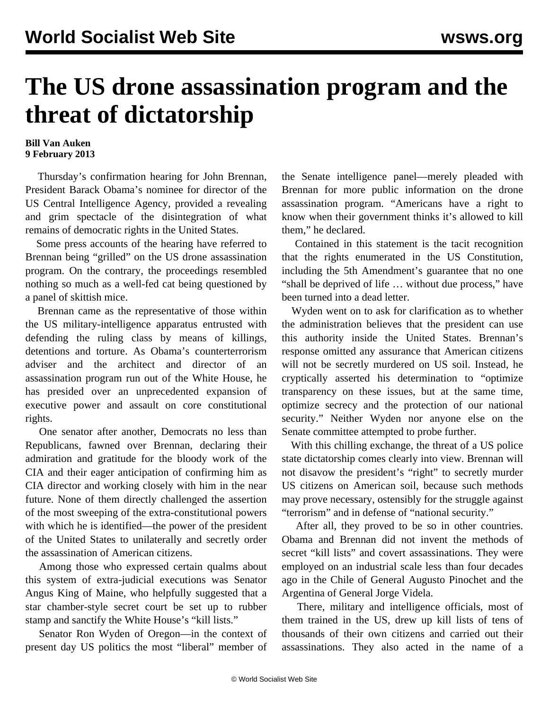## **The US drone assassination program and the threat of dictatorship**

## **Bill Van Auken 9 February 2013**

 Thursday's confirmation hearing for John Brennan, President Barack Obama's nominee for director of the US Central Intelligence Agency, provided a revealing and grim spectacle of the disintegration of what remains of democratic rights in the United States.

 Some press accounts of the hearing have referred to Brennan being "grilled" on the US drone assassination program. On the contrary, the proceedings resembled nothing so much as a well-fed cat being questioned by a panel of skittish mice.

 Brennan came as the representative of those within the US military-intelligence apparatus entrusted with defending the ruling class by means of killings, detentions and torture. As Obama's counterterrorism adviser and the architect and director of an assassination program run out of the White House, he has presided over an unprecedented expansion of executive power and assault on core constitutional rights.

 One senator after another, Democrats no less than Republicans, fawned over Brennan, declaring their admiration and gratitude for the bloody work of the CIA and their eager anticipation of confirming him as CIA director and working closely with him in the near future. None of them directly challenged the assertion of the most sweeping of the extra-constitutional powers with which he is identified—the power of the president of the United States to unilaterally and secretly order the assassination of American citizens.

 Among those who expressed certain qualms about this system of extra-judicial executions was Senator Angus King of Maine, who helpfully suggested that a star chamber-style secret court be set up to rubber stamp and sanctify the White House's "kill lists."

 Senator Ron Wyden of Oregon—in the context of present day US politics the most "liberal" member of the Senate intelligence panel—merely pleaded with Brennan for more public information on the drone assassination program. "Americans have a right to know when their government thinks it's allowed to kill them," he declared.

 Contained in this statement is the tacit recognition that the rights enumerated in the US Constitution, including the 5th Amendment's guarantee that no one "shall be deprived of life … without due process," have been turned into a dead letter.

 Wyden went on to ask for clarification as to whether the administration believes that the president can use this authority inside the United States. Brennan's response omitted any assurance that American citizens will not be secretly murdered on US soil. Instead, he cryptically asserted his determination to "optimize transparency on these issues, but at the same time, optimize secrecy and the protection of our national security." Neither Wyden nor anyone else on the Senate committee attempted to probe further.

 With this chilling exchange, the threat of a US police state dictatorship comes clearly into view. Brennan will not disavow the president's "right" to secretly murder US citizens on American soil, because such methods may prove necessary, ostensibly for the struggle against "terrorism" and in defense of "national security."

 After all, they proved to be so in other countries. Obama and Brennan did not invent the methods of secret "kill lists" and covert assassinations. They were employed on an industrial scale less than four decades ago in the Chile of General Augusto Pinochet and the Argentina of General Jorge Videla.

 There, military and intelligence officials, most of them trained in the US, drew up kill lists of tens of thousands of their own citizens and carried out their assassinations. They also acted in the name of a